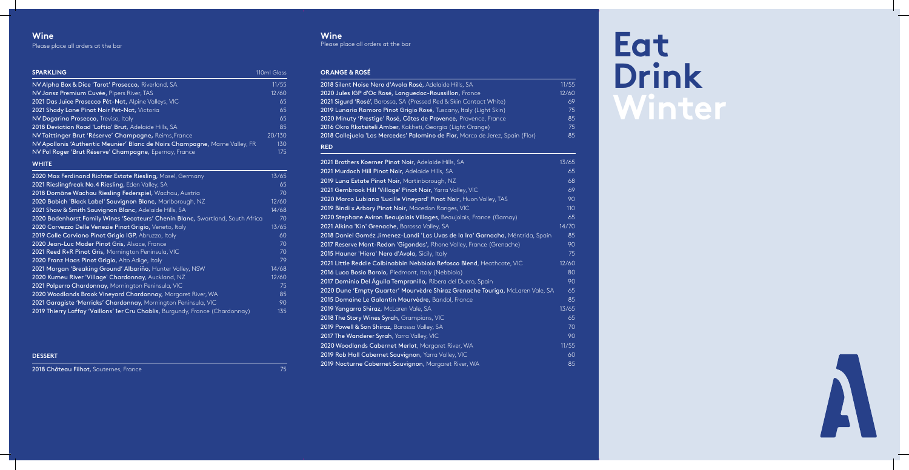# **Winter**



### **Wine**

Please place all orders at the bar

**Wine** 

Please place all orders at the bar

### **ORANGE & ROSÉ**

| 2018 Silent Noise Nero d'Avola Rosé, Adelaide Hills, SA                        | 11/55 |
|--------------------------------------------------------------------------------|-------|
| 2020 Jules IGP d'Oc Rosé, Languedoc-Roussillon, France                         | 12/60 |
| 2021 Sigurd 'Rosé', Barossa, SA (Pressed Red & Skin Contact White)             | 69    |
| 2019 Lunaria Ramoro Pinot Grigio Rosé, Tuscany, Italy (Light Skin)             | 75    |
| 2020 Minuty 'Prestige' Rosé, Côtes de Provence, Provence, France               | 85    |
| 2016 Okro Rkatsiteli Amber, Kakheti, Georgia (Light Orange)                    | 75    |
| 2018 Callejuela 'Las Mercedes' Palomino de Flor, Marco de Jerez, Spain (Flor)  | 85    |
| <b>RED</b>                                                                     |       |
| 2021 Brothers Koerner Pinot Noir, Adelaide Hills, SA                           | 13/65 |
| 2021 Murdoch Hill Pinot Noir, Adelaide Hills, SA                               | 65    |
| 2019 Luna Estate Pinot Noir, Martinborough, NZ                                 | 68    |
| 2021 Gembrook Hill 'Village' Pinot Noir, Yarra Valley, VIC                     | 69    |
| 2020 Marco Lubiana 'Lucille Vineyard' Pinot Noir, Huon Valley, TAS             | 90    |
| 2019 Bindi x Arbory Pinot Noir, Macedon Ranges, VIC                            | 110   |
| 2020 Stephane Aviron Beaujolais Villages, Beaujolais, France (Gamay)           | 65    |
| 2021 Alkina 'Kin' Grenache, Barossa Valley, SA                                 | 14/70 |
| 2018 Daniel Goméz Jimenez-Landi 'Las Uvas de la Ira' Garnacha, Méntrida, Spain | 85    |
| 2017 Reserve Mont-Redon 'Gigondas', Rhone Valley, France (Grenache)            | 90    |
| 2015 Hauner 'Hiera' Nero d'Avola, Sicily, Italy                                | 75    |
| 2021 Little Reddie Colbinabbin Nebbiolo Refosco Blend, Heathcote, VIC          | 12/60 |
| 2016 Luca Bosio Barolo, Piedmont, Italy (Nebbiolo)                             | 80    |
| 2017 Dominio Del Águila Tempranillo, Ribera del Duero, Spain                   | 90    |
| 2020 Dune 'Empty Quarter' Mourvèdre Shiraz Grenache Touriga, McLaren Vale, SA  | 65    |
| 2015 Domaine Le Galantin Mourvèdre, Bandol, France                             | 85    |
| 2019 Yangarra Shiraz, McLaren Vale, SA                                         | 13/65 |
| 2018 The Story Wines Syrah, Grampians, VIC                                     | 65    |
| 2019 Powell & Son Shiraz, Barossa Valley, SA                                   | 70    |
| 2017 The Wanderer Syrah, Yarra Valley, VIC                                     | 90    |
| 2020 Woodlands Cabernet Merlot, Margaret River, WA                             | 11/55 |
| 2019 Rob Hall Cabernet Sauvignon, Yarra Valley, VIC                            | 60    |
| 2019 Nocturne Cabernet Sauvignon, Margaret River, WA                           | 85    |

| <b>SPARKLING</b>                                                            | 110ml Glass |
|-----------------------------------------------------------------------------|-------------|
| NV Alpha Box & Dice 'Tarot' Prosecco, Riverland, SA                         | 11/55       |
| NV Jansz Premium Cuvée, Pipers River, TAS                                   | 12/60       |
| 2021 Das Juice Prosecco Pét-Nat, Alpine Valleys, VIC                        | 65          |
| 2021 Shady Lane Pinot Noir Pét-Nat, Victoria                                | 65          |
| NV Dogarina Prosecco, Treviso, Italy                                        | 65          |
| 2018 Deviation Road 'Loftia' Brut, Adelaide Hills, SA                       | 85          |
| NV Taittinger Brut 'Réserve' Champagne, Reims, France                       | 20/130      |
| NV Apollonis 'Authentic Meunier' Blanc de Noirs Champagne, Marne Valley, FR | 130         |
| NV Pol Roger 'Brut Réserve' Champagne, Epernay, France                      | 175         |
| <b>WHITE</b>                                                                |             |
| 2020 Max Ferdinand Richter Estate Riesling, Mosel, Germany                  | 13/65       |
| 2021 Rieslingfreak No.4 Riesling, Eden Valley, SA                           | 65          |
| 2018 Domäne Wachau Riesling Federspiel, Wachau, Austria                     | 70          |
| 2020 Babich 'Black Label' Sauvignon Blanc, Marlborough, NZ                  | 12/60       |
|                                                                             |             |

| <b>ZUTO DUITIQUE VVOCHOU INESITIQ L'ÉGÉTSPIEI,</b> VVOCHOU, AUSTRIQ            | 7 U   |
|--------------------------------------------------------------------------------|-------|
| 2020 Babich 'Black Label' Sauvignon Blanc, Marlborough, NZ                     | 12/60 |
| 2021 Shaw & Smith Sauvignon Blanc, Adelaide Hills, SA                          | 14/68 |
| 2020 Badenhorst Family Wines 'Secateurs' Chenin Blanc, Swartland, South Africa | 70    |
| 2020 Corvezzo Delle Venezie Pinot Grigio, Veneto, Italy                        | 13/65 |
| 2019 Colle Corviano Pinot Grigio IGP, Abruzzo, Italy                           | 60    |
| 2020 Jean-Luc Mader Pinot Gris, Alsace, France                                 | 70    |
| 2021 Reed R+R Pinot Gris, Mornington Peninsula, VIC                            | 70    |
| 2020 Franz Haas Pinot Grigio, Alto Adige, Italy                                | 79    |
| 2021 Margan 'Breaking Ground' Albariño, Hunter Valley, NSW                     | 14/68 |
| 2020 Kumeu River 'Village' Chardonnay, Auckland, NZ                            | 12/60 |
| 2021 Polperro Chardonnay, Mornington Peninsula, VIC                            | 75    |
| 2020 Woodlands Brook Vineyard Chardonnay, Margaret River, WA                   | 85    |
| 2021 Garagiste 'Merricks' Chardonnay, Mornington Peninsula, VIC                | 90    |
| 2019 Thierry Laffay 'Vaillons' 1er Cru Chablis, Burgundy, France (Chardonnay)  | 135   |
|                                                                                |       |

**DESSERT** 

2018 Château Filhot, Sauternes, France 75